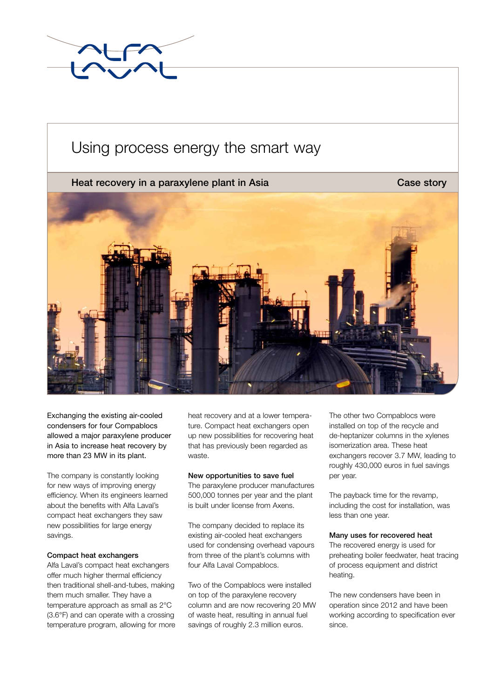

# Using process energy the smart way

# Heat recovery in a paraxylene plant in Asia Case Story Case story



Exchanging the existing air-cooled condensers for four Compablocs allowed a major paraxylene producer in Asia to increase heat recovery by more than 23 MW in its plant.

The company is constantly looking for new ways of improving energy efficiency. When its engineers learned about the benefits with Alfa Laval's compact heat exchangers they saw new possibilities for large energy savings.

# Compact heat exchangers

Alfa Laval's compact heat exchangers offer much higher thermal efficiency then traditional shell-and-tubes, making them much smaller. They have a temperature approach as small as 2°C (3.6°F) and can operate with a crossing temperature program, allowing for more heat recovery and at a lower temperature. Compact heat exchangers open up new possibilities for recovering heat that has previously been regarded as waste.

# New opportunities to save fuel

The paraxylene producer manufactures 500,000 tonnes per year and the plant is built under license from Axens.

The company decided to replace its existing air-cooled heat exchangers used for condensing overhead vapours from three of the plant's columns with four Alfa Laval Compablocs.

Two of the Compablocs were installed on top of the paraxylene recovery column and are now recovering 20 MW of waste heat, resulting in annual fuel savings of roughly 2.3 million euros.

The other two Compablocs were installed on top of the recycle and de-heptanizer columns in the xylenes isomerization area. These heat exchangers recover 3.7 MW, leading to roughly 430,000 euros in fuel savings per year.

The payback time for the revamp, including the cost for installation, was less than one year.

# Many uses for recovered heat

The recovered energy is used for preheating boiler feedwater, heat tracing of process equipment and district heating.

The new condensers have been in operation since 2012 and have been working according to specification ever since.